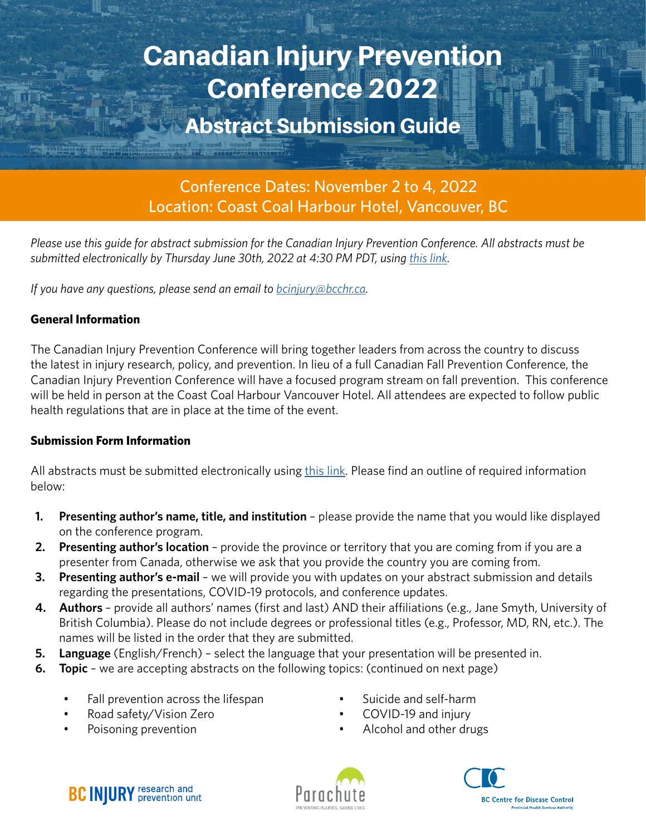# Canadian Injury Prevention Conference 2022

# Abstract Submission Guide

Conference Dates: November 2 to 4, 2022 Location: Coast Coal Harbour Hotel, Vancouver, BC

*Please use this guide for abstract submission for the Canadian Injury Prevention Conference. All abstracts must be submitted electronically by Thursday June 30th, 2022 at 4:30 PM PDT, using [this link](https://forms.gle/BK2hCwtCkYD17nGC8).*

*If you have any questions, please send an email to <i>[bcinjury@bcchr.ca.](mailto:bcinjury%40bcchr.ca?subject=)* 

#### **General Information**

The Canadian Injury Prevention Conference will bring together leaders from across the country to discuss the latest in injury research, policy, and prevention. In lieu of a full Canadian Fall Prevention Conference, the Canadian Injury Prevention Conference will have a focused program stream on fall prevention. This conference will be held in person at the Coast Coal Harbour Vancouver Hotel. All attendees are expected to follow public health regulations that are in place at the time of the event.

#### **Submission Form Information**

All abstracts must be submitted electronically using [this link](https://forms.gle/BK2hCwtCkYD17nGC8). Please find an outline of required information below:

- **1. Presenting author's name, title, and institution** please provide the name that you would like displayed on the conference program.
- **2. Presenting author's location** provide the province or territory that you are coming from if you are a presenter from Canada, otherwise we ask that you provide the country you are coming from.
- **3. Presenting author's e-mail**  we will provide you with updates on your abstract submission and details regarding the presentations, COVID-19 protocols, and conference updates.
- **4. Authors**  provide all authors' names (first and last) AND their affiliations (e.g., Jane Smyth, University of British Columbia). Please do not include degrees or professional titles (e.g., Professor, MD, RN, etc.). The names will be listed in the order that they are submitted.
- **5. Language** (English/French) select the language that your presentation will be presented in.
- **6. Topic** we are accepting abstracts on the following topics: (continued on next page)
	- Fall prevention across the lifespan
	- Road safety/Vision Zero
	- Poisoning prevention
- Suicide and self-harm
- COVID-19 and injury
- Alcohol and other drugs